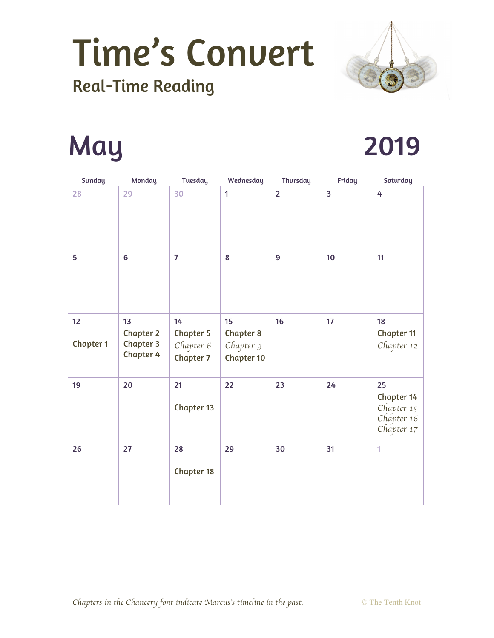

### Real-Time Reading

## May 2019

| <b>Sunday</b>          | Monday                                                         | <b>Tuesday</b>                                          | Wednesday                                                | <b>Thursday</b> | Friday         | Saturday                                                          |
|------------------------|----------------------------------------------------------------|---------------------------------------------------------|----------------------------------------------------------|-----------------|----------------|-------------------------------------------------------------------|
| 28                     | 29                                                             | 30                                                      | $\mathbf{1}$                                             | $\overline{2}$  | $\overline{3}$ | 4                                                                 |
| 5                      | 6                                                              | $\overline{7}$                                          | 8                                                        | 9               | 10             | 11                                                                |
| 12<br><b>Chapter 1</b> | 13<br><b>Chapter 2</b><br><b>Chapter 3</b><br><b>Chapter 4</b> | 14<br><b>Chapter 5</b><br>Chapter 6<br><b>Chapter 7</b> | 15<br><b>Chapter 8</b><br>Chapter 9<br><b>Chapter 10</b> | 16              | 17             | 18<br><b>Chapter 11</b><br>Chapter 12                             |
| 19                     | 20                                                             | 21<br><b>Chapter 13</b>                                 | 22                                                       | 23              | 24             | 25<br><b>Chapter 14</b><br>Chapter 15<br>Chapter 16<br>Chapter 17 |
| 26                     | 27                                                             | 28<br><b>Chapter 18</b>                                 | 29                                                       | 30              | 31             | 1                                                                 |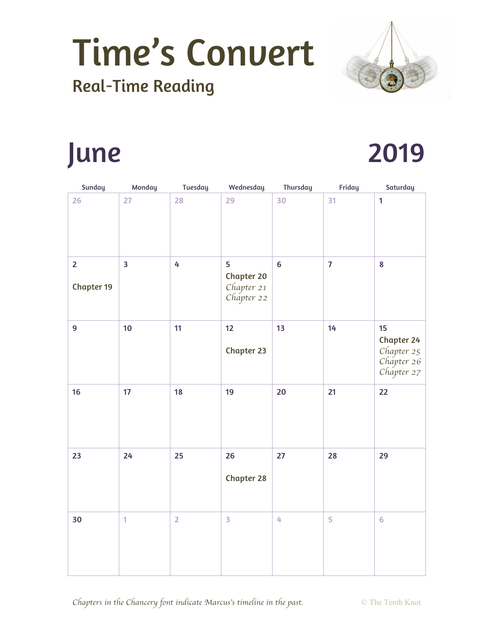

#### Real-Time Reading

### June 2019

| Sunday                              | Monday                  | <b>Tuesday</b> | Wednesday                                          | Thursday | Friday         | Saturday                                                          |
|-------------------------------------|-------------------------|----------------|----------------------------------------------------|----------|----------------|-------------------------------------------------------------------|
| 26                                  | 27                      | 28             | 29                                                 | 30       | 31             | $\mathbf{1}$                                                      |
| $\overline{2}$<br><b>Chapter 19</b> | $\overline{\mathbf{3}}$ | 4              | 5<br><b>Chapter 20</b><br>Chapter 21<br>Chapter 22 | $\bf 6$  | $\overline{7}$ | 8                                                                 |
| $\overline{9}$                      | 10                      | 11             | 12<br><b>Chapter 23</b>                            | 13       | 14             | 15<br><b>Chapter 24</b><br>Chapter 25<br>Chapter 26<br>Chapter 27 |
| 16                                  | 17                      | 18             | 19                                                 | 20       | 21             | 22                                                                |
| 23                                  | 24                      | 25             | 26<br><b>Chapter 28</b>                            | 27       | 28             | 29                                                                |
| 30                                  | 1                       | $\overline{2}$ | 3                                                  | 4        | 5              | $6\phantom{a}$                                                    |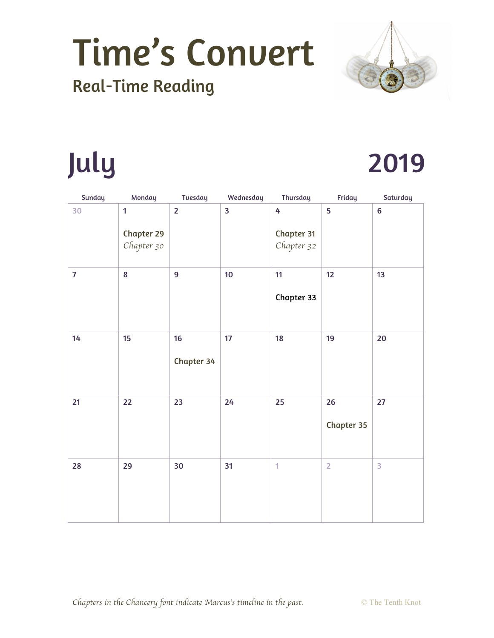

### Real-Time Reading

## July

| 2019 |  |
|------|--|
|      |  |

| <b>Sunday</b>  | Monday                                          | <b>Tuesday</b>   | Wednesday | <b>Thursday</b>               | Friday                        | Saturday                |
|----------------|-------------------------------------------------|------------------|-----------|-------------------------------|-------------------------------|-------------------------|
| 30             | $\mathbf{1}$<br><b>Chapter 29</b><br>Chapter 30 | $\overline{2}$   | 3         | 4<br>Chapter 31<br>Chapter 32 | 5                             | $6\phantom{a}$          |
| $\overline{7}$ | 8                                               | 9                | 10        | 11<br>Chapter 33              | 12                            | 13                      |
| 14             | 15                                              | 16<br>Chapter 34 | 17        | 18                            | 19                            | 20                      |
| 21             | 22                                              | 23               | 24        | 25                            | $26\phantom{.}$<br>Chapter 35 | 27                      |
| 28             | 29                                              | 30               | 31        | $\overline{1}$                | $\overline{2}$                | $\overline{\mathbf{3}}$ |